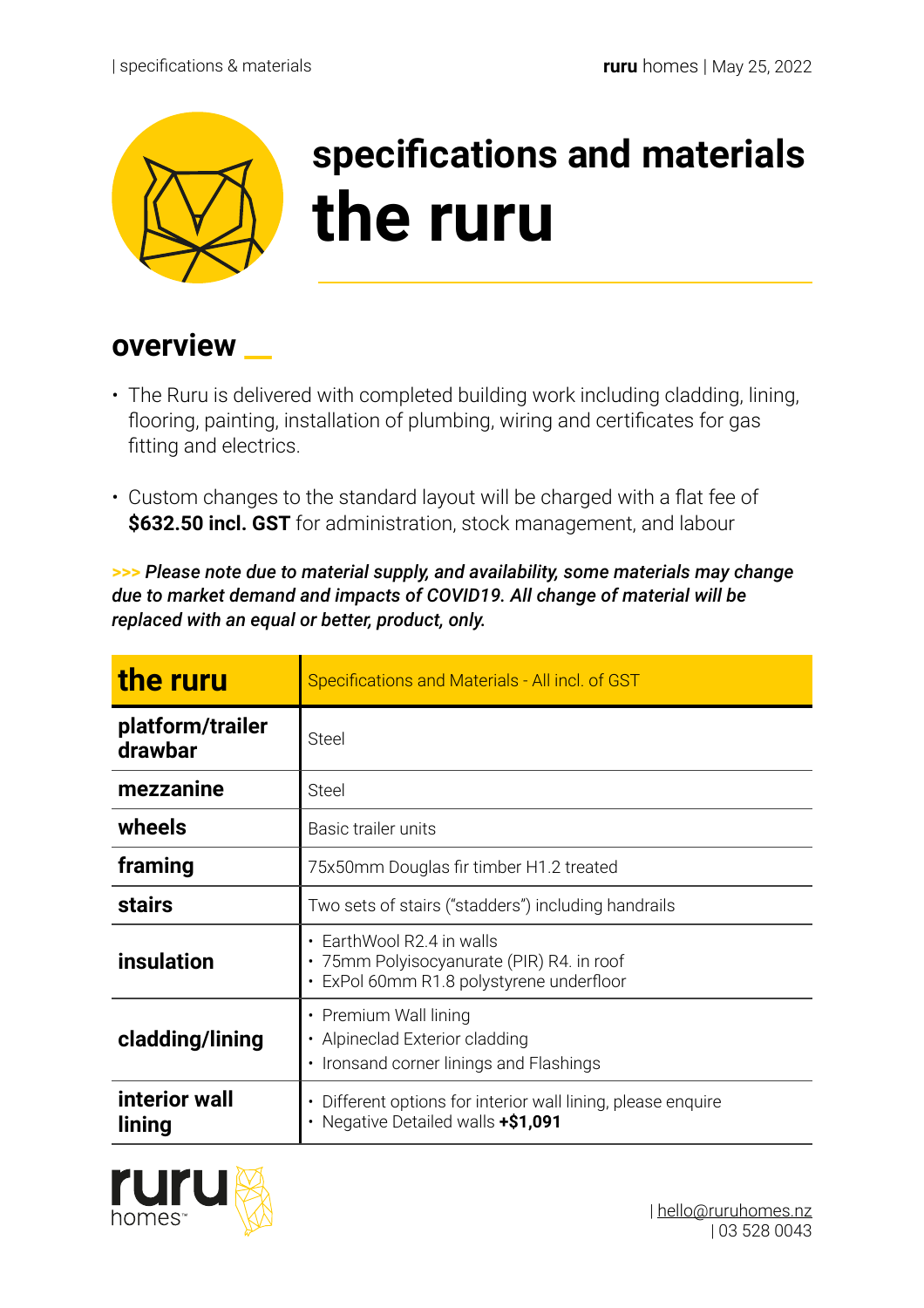

## **specifications and materials the ruru**

## **overview \_\_**

- The Ruru is delivered with completed building work including cladding, lining, flooring, painting, installation of plumbing, wiring and certificates for gas fitting and electrics.
- Custom changes to the standard layout will be charged with a flat fee of **\$632.50 incl. GST** for administration, stock management, and labour

**>>>** *Please note due to material supply, and availability, some materials may change due to market demand and impacts of COVID19. All change of material will be replaced with an equal or better, product, only.* 

| the ruru                    | Specifications and Materials - All incl. of GST                                                                          |
|-----------------------------|--------------------------------------------------------------------------------------------------------------------------|
| platform/trailer<br>drawbar | <b>Steel</b>                                                                                                             |
| mezzanine                   | <b>Steel</b>                                                                                                             |
| wheels                      | Basic trailer units                                                                                                      |
| framing                     | 75x50mm Douglas fir timber H1.2 treated                                                                                  |
| <b>stairs</b>               | Two sets of stairs ("stadders") including handrails                                                                      |
| insulation                  | • EarthWool R2.4 in walls<br>• 75mm Polyisocyanurate (PIR) R4. in roof<br>· ExPol 60mm R1.8 polystyrene underfloor       |
| cladding/lining             | • Premium Wall lining<br>• Alpineclad Exterior cladding<br>• Ironsand corner linings and Flashings                       |
| interior wall<br>lining     | Different options for interior wall lining, please enquire<br>$\bullet$<br>Negative Detailed walls +\$1,091<br>$\bullet$ |

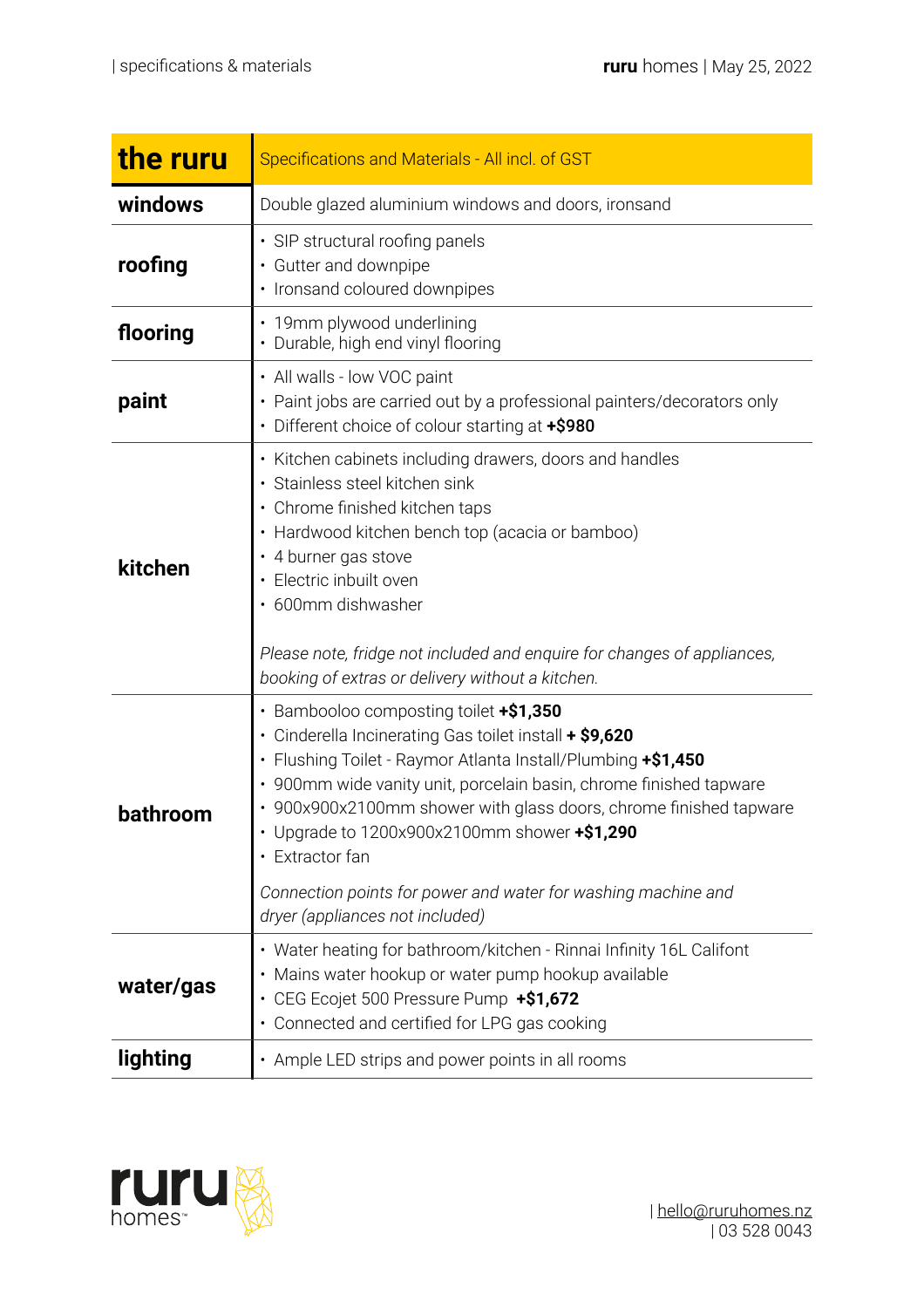| the ruru  | Specifications and Materials - All incl. of GST                                                                                                                                                                                                                                                                                                                                                                                                                                  |
|-----------|----------------------------------------------------------------------------------------------------------------------------------------------------------------------------------------------------------------------------------------------------------------------------------------------------------------------------------------------------------------------------------------------------------------------------------------------------------------------------------|
| windows   | Double glazed aluminium windows and doors, ironsand                                                                                                                                                                                                                                                                                                                                                                                                                              |
| roofing   | · SIP structural roofing panels<br>• Gutter and downpipe<br>· Ironsand coloured downpipes                                                                                                                                                                                                                                                                                                                                                                                        |
| flooring  | · 19mm plywood underlining<br>• Durable, high end vinyl flooring                                                                                                                                                                                                                                                                                                                                                                                                                 |
| paint     | • All walls - low VOC paint<br>• Paint jobs are carried out by a professional painters/decorators only<br>• Different choice of colour starting at +\$980                                                                                                                                                                                                                                                                                                                        |
| kitchen   | • Kitchen cabinets including drawers, doors and handles<br>· Stainless steel kitchen sink<br>• Chrome finished kitchen taps<br>• Hardwood kitchen bench top (acacia or bamboo)<br>• 4 burner gas stove<br>• Electric inbuilt oven<br>· 600mm dishwasher<br>Please note, fridge not included and enquire for changes of appliances,<br>booking of extras or delivery without a kitchen.                                                                                           |
| bathroom  | • Bambooloo composting toilet +\$1,350<br>• Cinderella Incinerating Gas toilet install + \$9,620<br>• Flushing Toilet - Raymor Atlanta Install/Plumbing +\$1,450<br>• 900mm wide vanity unit, porcelain basin, chrome finished tapware<br>• 900x900x2100mm shower with glass doors, chrome finished tapware<br>Upgrade to 1200x900x2100mm shower +\$1,290<br>• Extractor fan<br>Connection points for power and water for washing machine and<br>dryer (appliances not included) |
| water/gas | • Water heating for bathroom/kitchen - Rinnai Infinity 16L Califont<br>Mains water hookup or water pump hookup available<br>• CEG Ecojet 500 Pressure Pump +\$1,672<br>• Connected and certified for LPG gas cooking                                                                                                                                                                                                                                                             |
| lighting  | • Ample LED strips and power points in all rooms                                                                                                                                                                                                                                                                                                                                                                                                                                 |

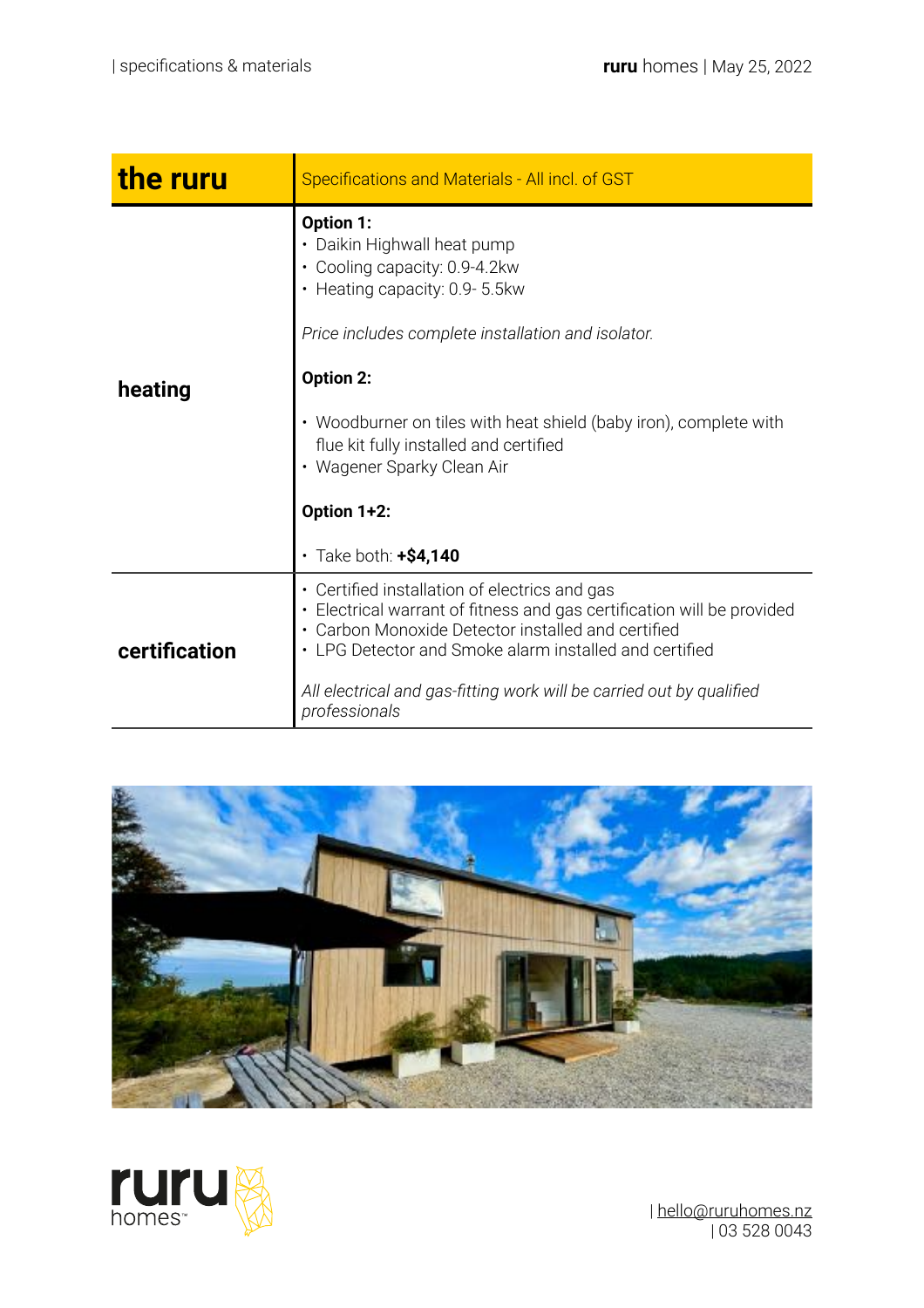| the ruru      | Specifications and Materials - All incl. of GST                                                                                                                                                                                                                                                                                                                                      |
|---------------|--------------------------------------------------------------------------------------------------------------------------------------------------------------------------------------------------------------------------------------------------------------------------------------------------------------------------------------------------------------------------------------|
| heating       | Option 1:<br>• Daikin Highwall heat pump<br>• Cooling capacity: 0.9-4.2kw<br>• Heating capacity: 0.9-5.5kw<br>Price includes complete installation and isolator.<br><b>Option 2:</b><br>• Woodburner on tiles with heat shield (baby iron), complete with<br>flue kit fully installed and certified<br>• Wagener Sparky Clean Air<br>Option 1+2:<br>$\cdot$ Take both: $\pm$ \$4,140 |
| certification | • Certified installation of electrics and gas<br>Electrical warrant of fitness and gas certification will be provided<br>• Carbon Monoxide Detector installed and certified<br>• LPG Detector and Smoke alarm installed and certified<br>All electrical and gas-fitting work will be carried out by qualified<br>professionals                                                       |





| [hello@ruruhomes.nz](mailto:hello@ruruhomes.nz) | 03 528 0043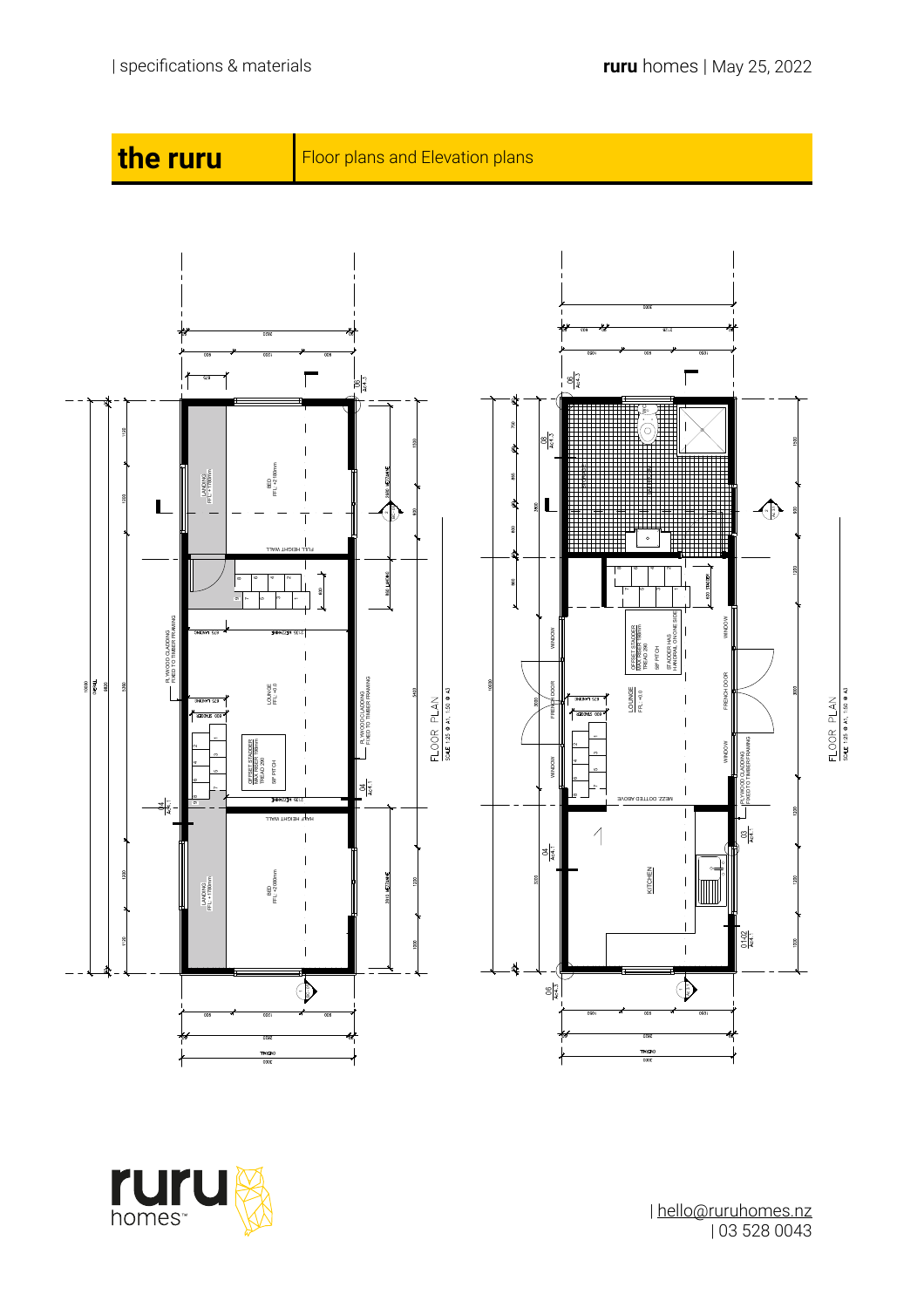

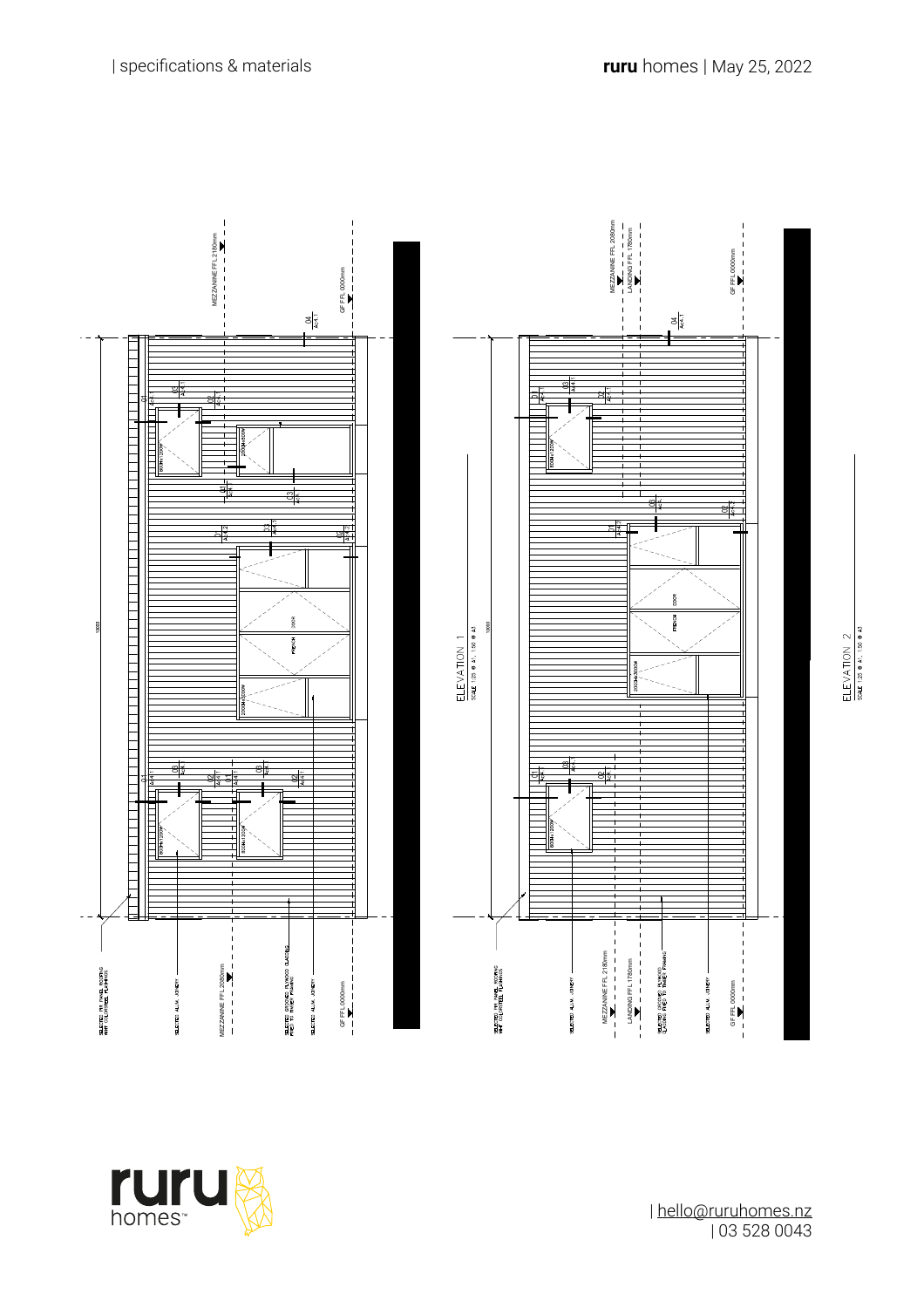